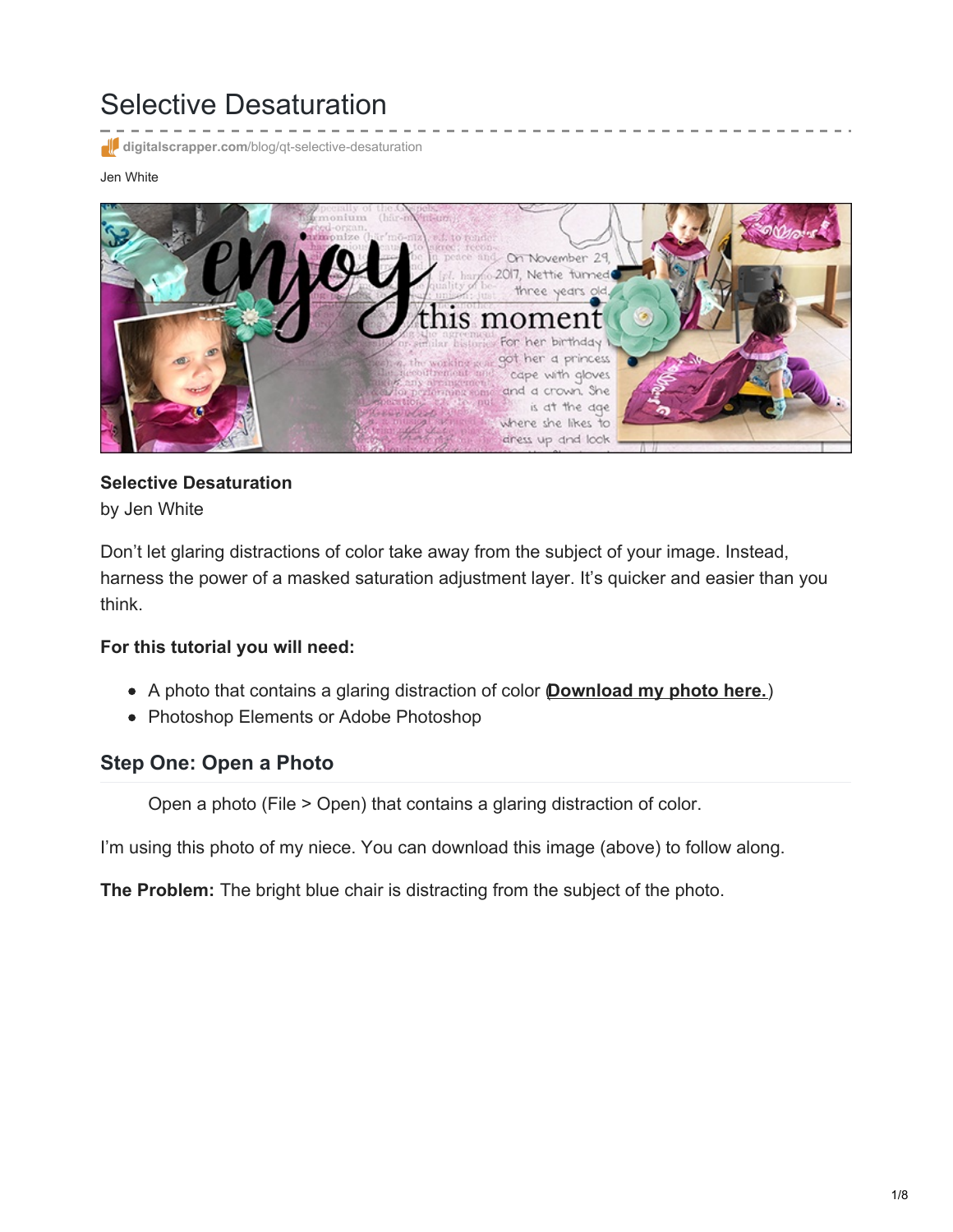# Selective Desaturation

**digitalscrapper.com**[/blog/qt-selective-desaturation](https://www.digitalscrapper.com/blog/qt-selective-desaturation/)

Jen White



#### **Selective Desaturation** by Jen White

Don't let glaring distractions of color take away from the subject of your image. Instead, harness the power of a masked saturation adjustment layer. It's quicker and easier than you think.

#### **For this tutorial you will need:**

- A photo that contains a glaring distraction of color (**[Download](https://www.digitalscrapper.com/downloads/qwik-tutorial/qt-selective-desaturation-download.zip) my photo here.**)
- Photoshop Elements or Adobe Photoshop

### **Step One: Open a Photo**

Open a photo (File > Open) that contains a glaring distraction of color.

I'm using this photo of my niece. You can download this image (above) to follow along.

**The Problem:** The bright blue chair is distracting from the subject of the photo.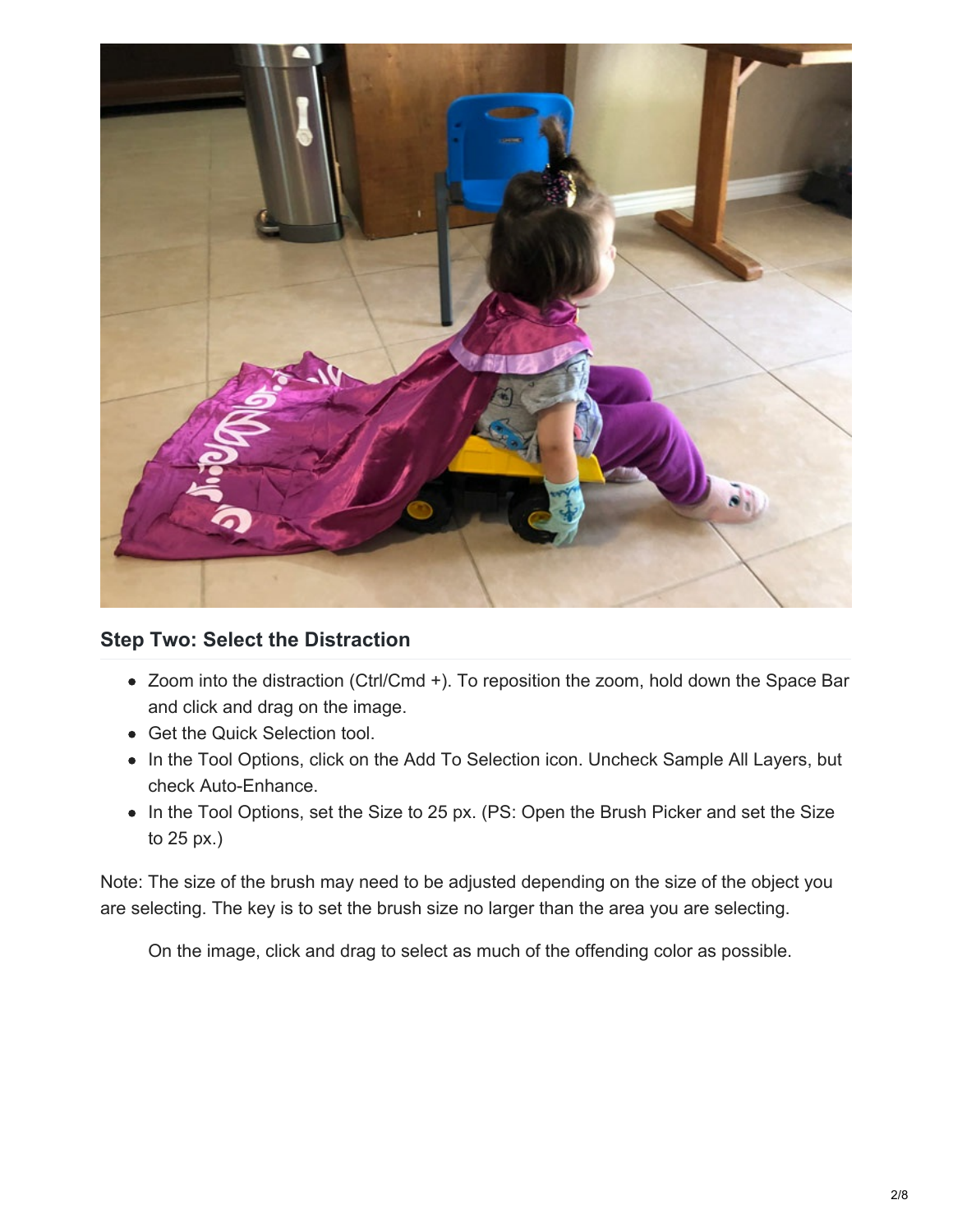

## **Step Two: Select the Distraction**

- Zoom into the distraction (Ctrl/Cmd +). To reposition the zoom, hold down the Space Bar and click and drag on the image.
- Get the Quick Selection tool.
- In the Tool Options, click on the Add To Selection icon. Uncheck Sample All Layers, but check Auto-Enhance.
- In the Tool Options, set the Size to 25 px. (PS: Open the Brush Picker and set the Size to 25 px.)

Note: The size of the brush may need to be adjusted depending on the size of the object you are selecting. The key is to set the brush size no larger than the area you are selecting.

On the image, click and drag to select as much of the offending color as possible.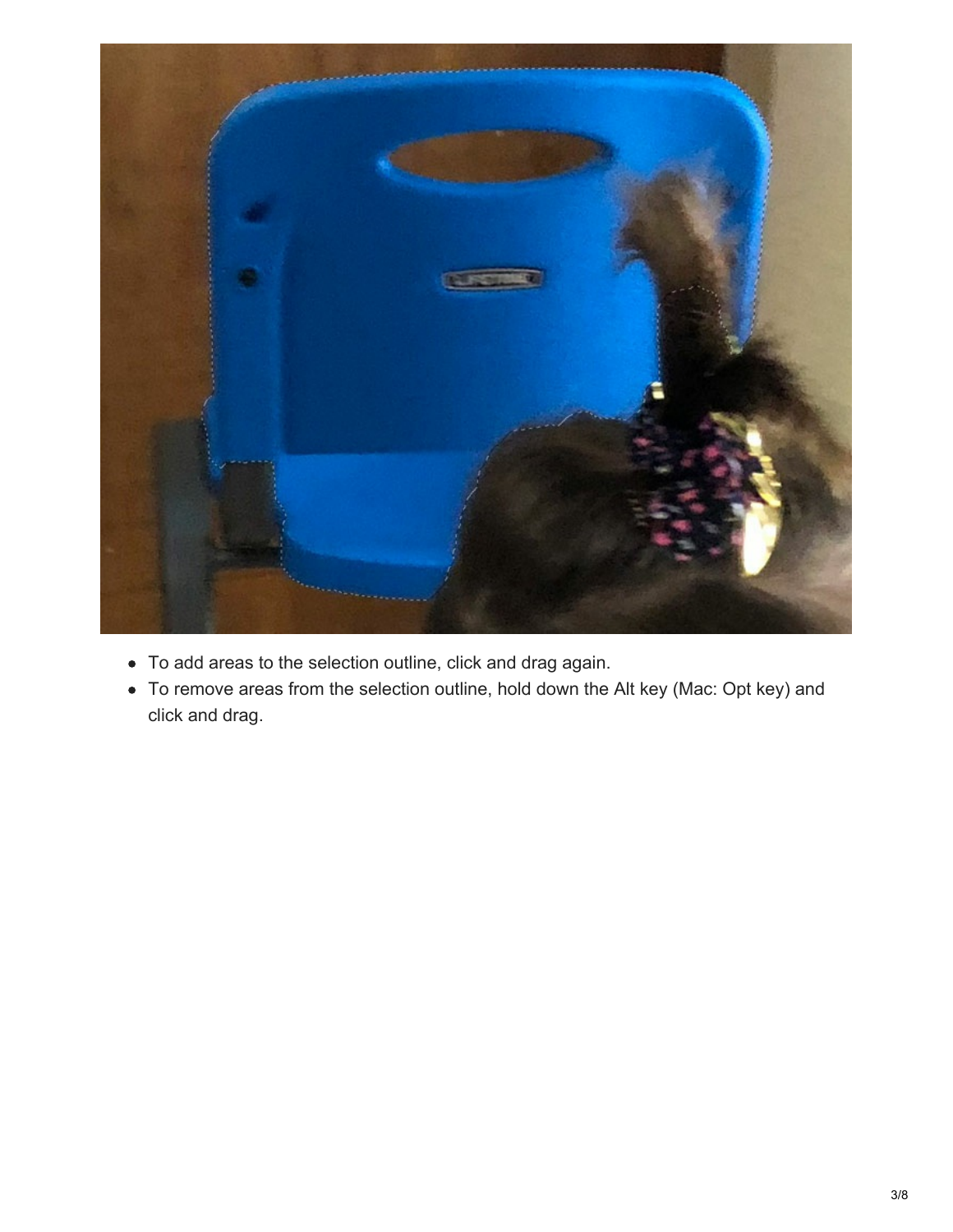

- To add areas to the selection outline, click and drag again.
- To remove areas from the selection outline, hold down the Alt key (Mac: Opt key) and click and drag.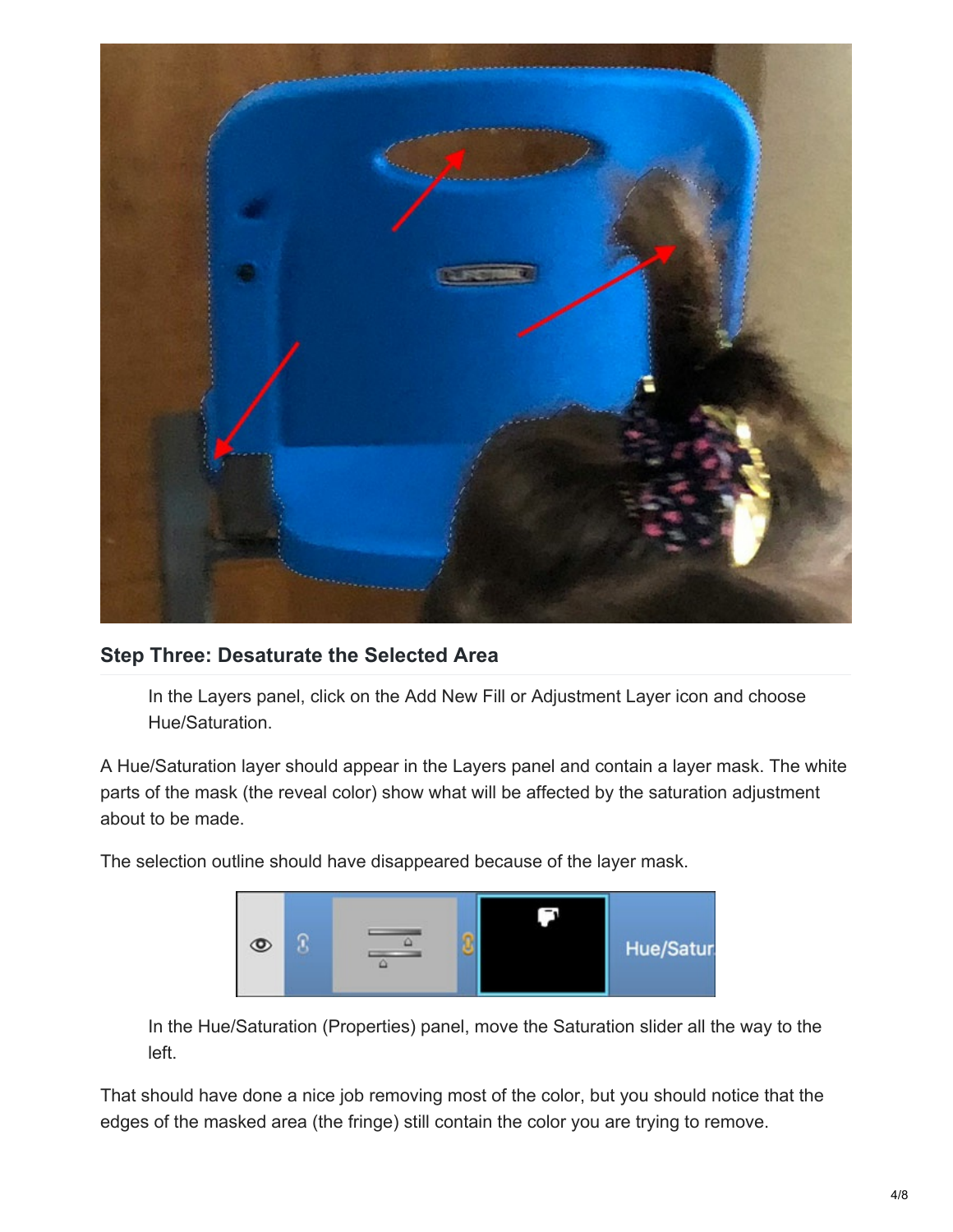

### **Step Three: Desaturate the Selected Area**

In the Layers panel, click on the Add New Fill or Adjustment Layer icon and choose Hue/Saturation.

A Hue/Saturation layer should appear in the Layers panel and contain a layer mask. The white parts of the mask (the reveal color) show what will be affected by the saturation adjustment about to be made.

The selection outline should have disappeared because of the layer mask.



In the Hue/Saturation (Properties) panel, move the Saturation slider all the way to the left.

That should have done a nice job removing most of the color, but you should notice that the edges of the masked area (the fringe) still contain the color you are trying to remove.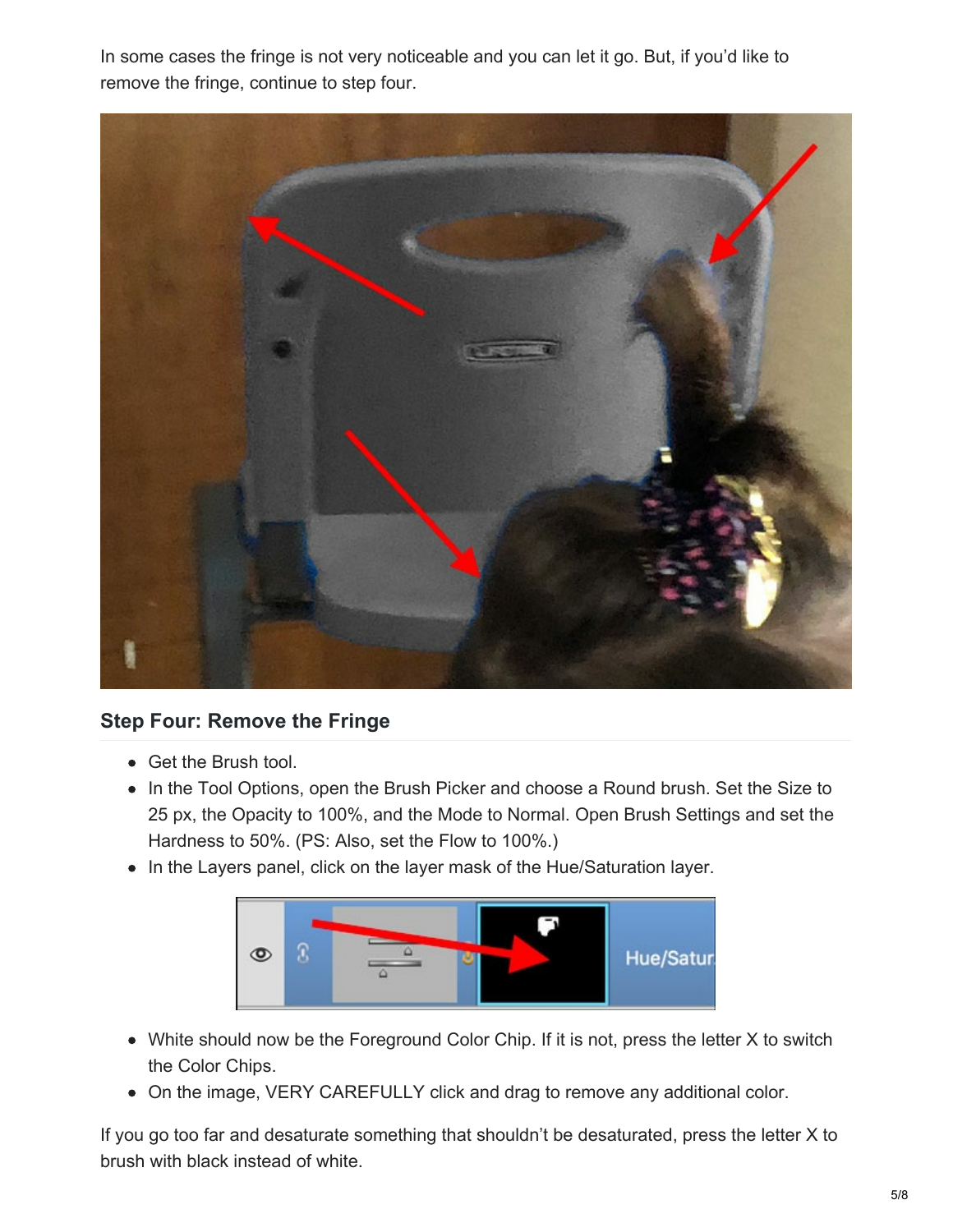In some cases the fringe is not very noticeable and you can let it go. But, if you'd like to remove the fringe, continue to step four.



# **Step Four: Remove the Fringe**

- Get the Brush tool.
- In the Tool Options, open the Brush Picker and choose a Round brush. Set the Size to 25 px, the Opacity to 100%, and the Mode to Normal. Open Brush Settings and set the Hardness to 50%. (PS: Also, set the Flow to 100%.)
- In the Layers panel, click on the layer mask of the Hue/Saturation layer.



- White should now be the Foreground Color Chip. If it is not, press the letter X to switch the Color Chips.
- On the image, VERY CAREFULLY click and drag to remove any additional color.

If you go too far and desaturate something that shouldn't be desaturated, press the letter X to brush with black instead of white.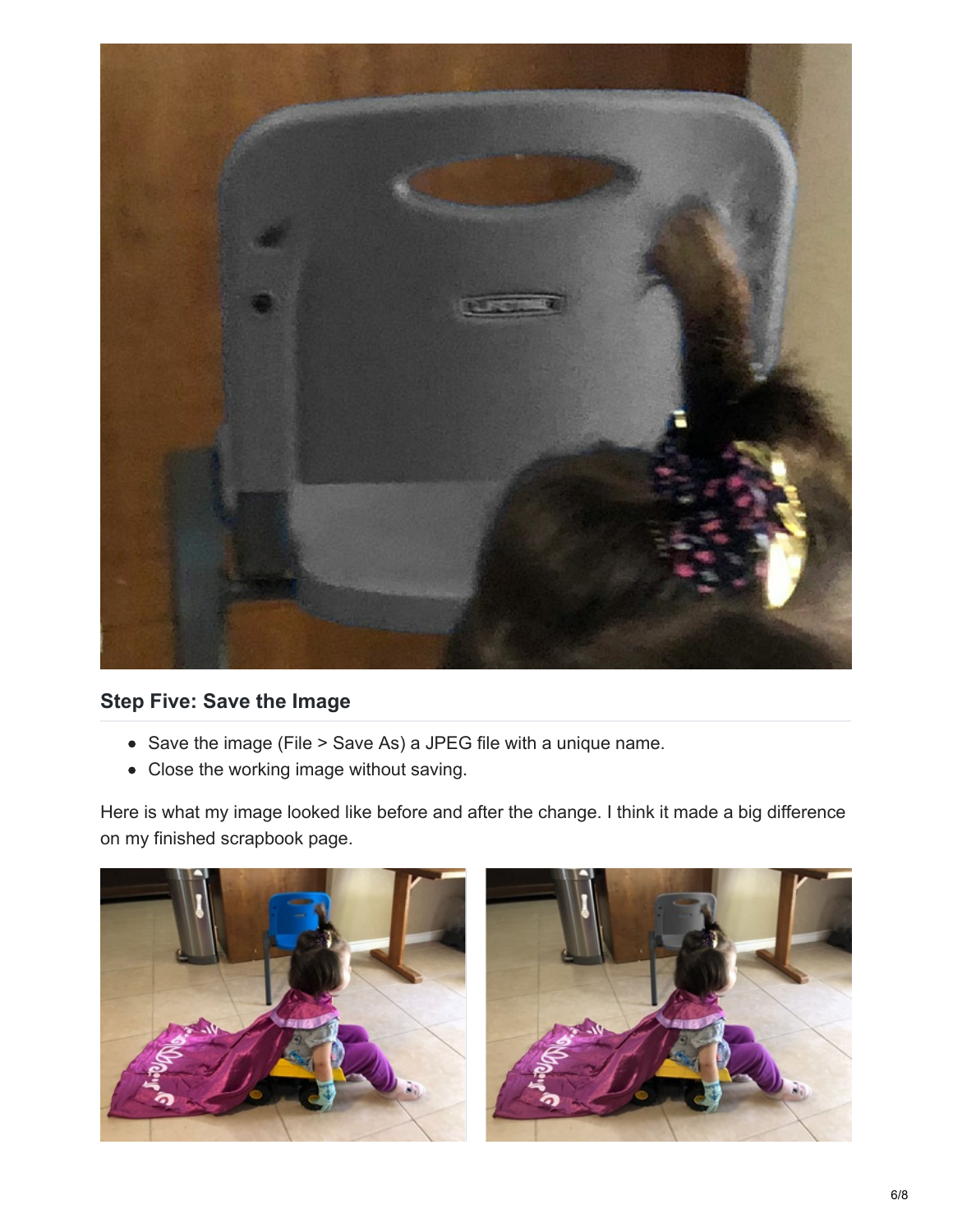

# **Step Five: Save the Image**

- Save the image (File > Save As) a JPEG file with a unique name.
- Close the working image without saving.

Here is what my image looked like before and after the change. I think it made a big difference on my finished scrapbook page.



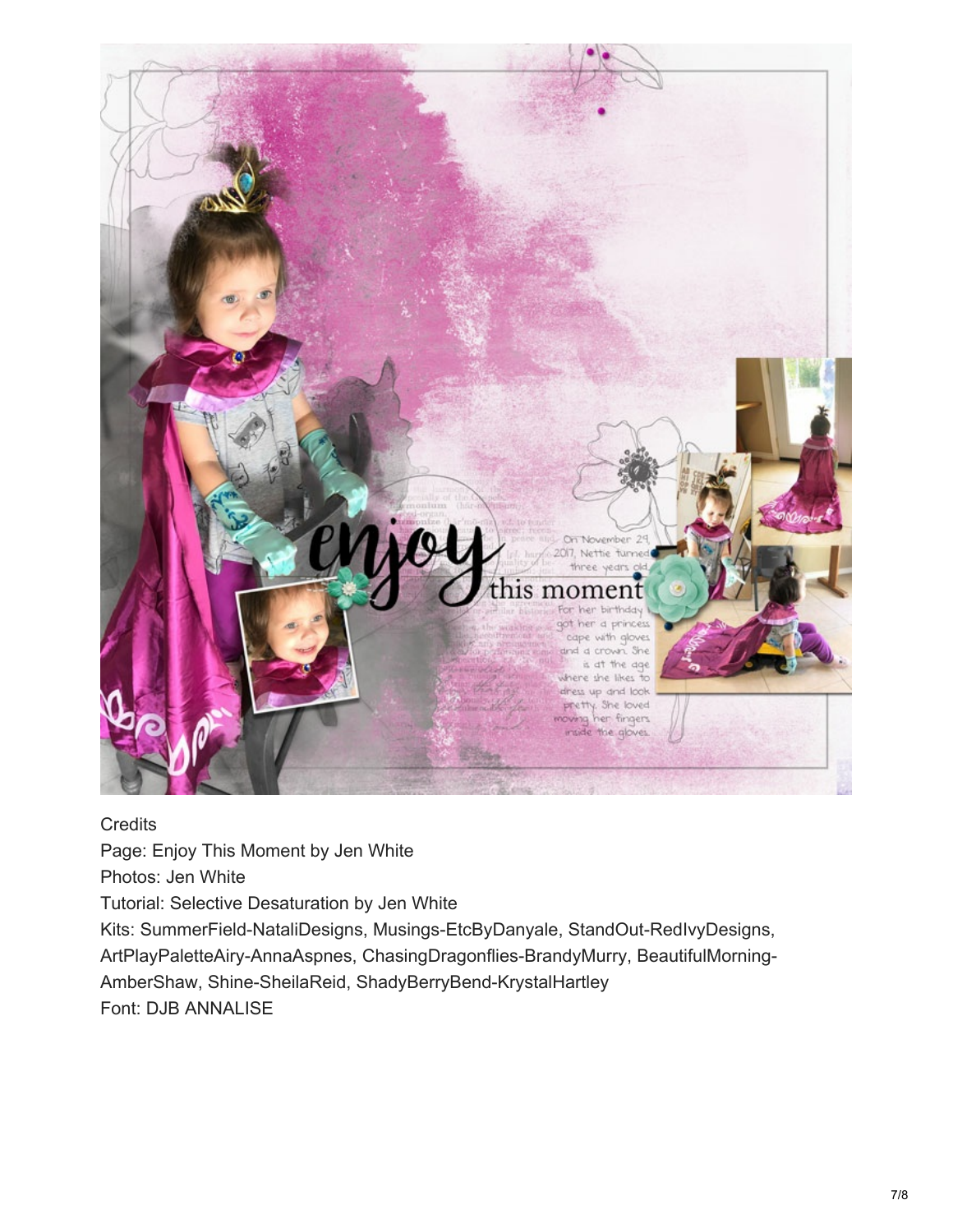

**Credits** Page: Enjoy This Moment by Jen White Photos: Jen White Tutorial: Selective Desaturation by Jen White Kits: SummerField-NataliDesigns, Musings-EtcByDanyale, StandOut-RedIvyDesigns, ArtPlayPaletteAiry-AnnaAspnes, ChasingDragonflies-BrandyMurry, BeautifulMorning-AmberShaw, Shine-SheilaReid, ShadyBerryBend-KrystalHartley Font: DJB ANNALISE